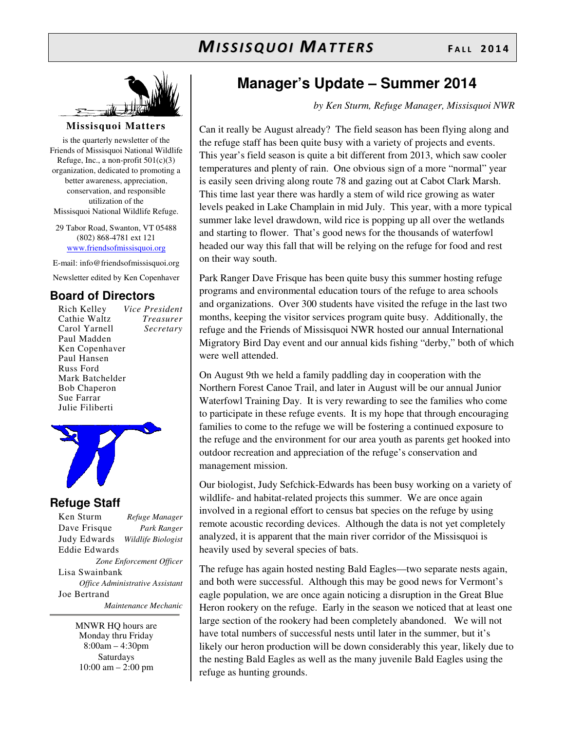

### **Missisquoi Matters**

is the quarterly newsletter of the Friends of Missisquoi National Wildlife Refuge, Inc., a non-profit  $501(c)(3)$ organization, dedicated to promoting a better awareness, appreciation, conservation, and responsible utilization of the Missisquoi National Wildlife Refuge.

29 Tabor Road, Swanton, VT 05488 (802) 868-4781 ext 121 www.friendsofmissisquoi.org

E-mail: info@friendsofmissisquoi.org

Newsletter edited by Ken Copenhaver

## **Board of Directors**

Rich Kelley *Vice President* Cathie Waltz *Treasurer* Carol Yarnell *Secretary*  Paul Madden Ken Copenhaver Paul Hansen Russ Ford Mark Batchelder Bob Chaperon Sue Farrar Julie Filiberti



## **Refuge Staff**

Ken Sturm *Refuge Manager* Dave Frisque *Park Ranger* Judy Edwards *Wildlife Biologist* Eddie Edwards *Zone Enforcement Officer* Lisa Swainbank *Office Administrative Assistant*  Joe Bertrand  *Maintenance Mechanic*

> MNWR HQ hours are Monday thru Friday 8:00am – 4:30pm Saturdays 10:00 am – 2:00 pm

# **Manager's Update – Summer 2014**

*by Ken Sturm, Refuge Manager, Missisquoi NWR*

Can it really be August already? The field season has been flying along and the refuge staff has been quite busy with a variety of projects and events. This year's field season is quite a bit different from 2013, which saw cooler temperatures and plenty of rain. One obvious sign of a more "normal" year is easily seen driving along route 78 and gazing out at Cabot Clark Marsh. This time last year there was hardly a stem of wild rice growing as water levels peaked in Lake Champlain in mid July. This year, with a more typical summer lake level drawdown, wild rice is popping up all over the wetlands and starting to flower. That's good news for the thousands of waterfowl headed our way this fall that will be relying on the refuge for food and rest on their way south.

Park Ranger Dave Frisque has been quite busy this summer hosting refuge programs and environmental education tours of the refuge to area schools and organizations. Over 300 students have visited the refuge in the last two months, keeping the visitor services program quite busy. Additionally, the refuge and the Friends of Missisquoi NWR hosted our annual International Migratory Bird Day event and our annual kids fishing "derby," both of which were well attended.

On August 9th we held a family paddling day in cooperation with the Northern Forest Canoe Trail, and later in August will be our annual Junior Waterfowl Training Day. It is very rewarding to see the families who come to participate in these refuge events. It is my hope that through encouraging families to come to the refuge we will be fostering a continued exposure to the refuge and the environment for our area youth as parents get hooked into outdoor recreation and appreciation of the refuge's conservation and management mission.

Our biologist, Judy Sefchick-Edwards has been busy working on a variety of wildlife- and habitat-related projects this summer. We are once again involved in a regional effort to census bat species on the refuge by using remote acoustic recording devices. Although the data is not yet completely analyzed, it is apparent that the main river corridor of the Missisquoi is heavily used by several species of bats.

The refuge has again hosted nesting Bald Eagles—two separate nests again, and both were successful. Although this may be good news for Vermont's eagle population, we are once again noticing a disruption in the Great Blue Heron rookery on the refuge. Early in the season we noticed that at least one large section of the rookery had been completely abandoned. We will not have total numbers of successful nests until later in the summer, but it's likely our heron production will be down considerably this year, likely due to the nesting Bald Eagles as well as the many juvenile Bald Eagles using the refuge as hunting grounds.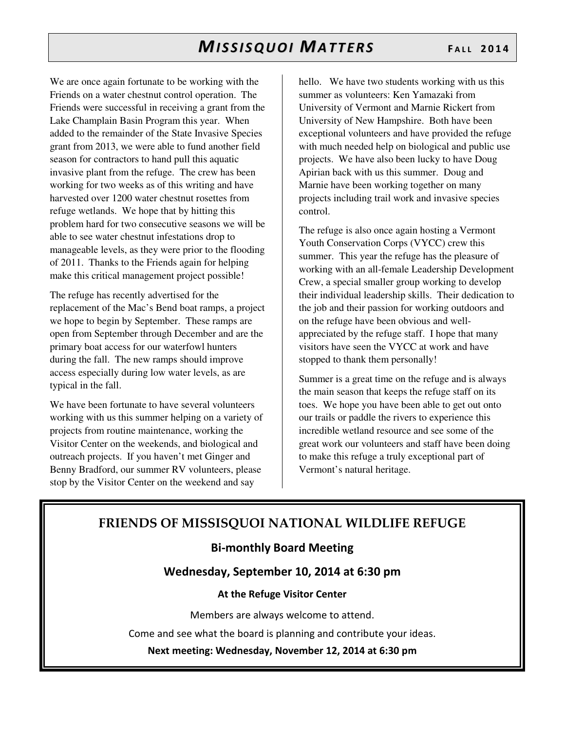We are once again fortunate to be working with the Friends on a water chestnut control operation. The Friends were successful in receiving a grant from the Lake Champlain Basin Program this year. When added to the remainder of the State Invasive Species grant from 2013, we were able to fund another field season for contractors to hand pull this aquatic invasive plant from the refuge. The crew has been working for two weeks as of this writing and have harvested over 1200 water chestnut rosettes from refuge wetlands. We hope that by hitting this problem hard for two consecutive seasons we will be able to see water chestnut infestations drop to manageable levels, as they were prior to the flooding of 2011. Thanks to the Friends again for helping make this critical management project possible!

The refuge has recently advertised for the replacement of the Mac's Bend boat ramps, a project we hope to begin by September. These ramps are open from September through December and are the primary boat access for our waterfowl hunters during the fall. The new ramps should improve access especially during low water levels, as are typical in the fall.

We have been fortunate to have several volunteers working with us this summer helping on a variety of projects from routine maintenance, working the Visitor Center on the weekends, and biological and outreach projects. If you haven't met Ginger and Benny Bradford, our summer RV volunteers, please stop by the Visitor Center on the weekend and say

hello. We have two students working with us this summer as volunteers: Ken Yamazaki from University of Vermont and Marnie Rickert from University of New Hampshire. Both have been exceptional volunteers and have provided the refuge with much needed help on biological and public use projects. We have also been lucky to have Doug Apirian back with us this summer. Doug and Marnie have been working together on many projects including trail work and invasive species control.

The refuge is also once again hosting a Vermont Youth Conservation Corps (VYCC) crew this summer. This year the refuge has the pleasure of working with an all-female Leadership Development Crew, a special smaller group working to develop their individual leadership skills. Their dedication to the job and their passion for working outdoors and on the refuge have been obvious and wellappreciated by the refuge staff. I hope that many visitors have seen the VYCC at work and have stopped to thank them personally!

Summer is a great time on the refuge and is always the main season that keeps the refuge staff on its toes. We hope you have been able to get out onto our trails or paddle the rivers to experience this incredible wetland resource and see some of the great work our volunteers and staff have been doing to make this refuge a truly exceptional part of Vermont's natural heritage.

# FRIENDS OF MISSISQUOI NATIONAL WILDLIFE REFUGE

## Bi-monthly Board Meeting

## Wednesday, September 10, 2014 at 6:30 pm

## At the Refuge Visitor Center

Members are always welcome to attend.

Come and see what the board is planning and contribute your ideas.

Next meeting: Wednesday, November 12, 2014 at 6:30 pm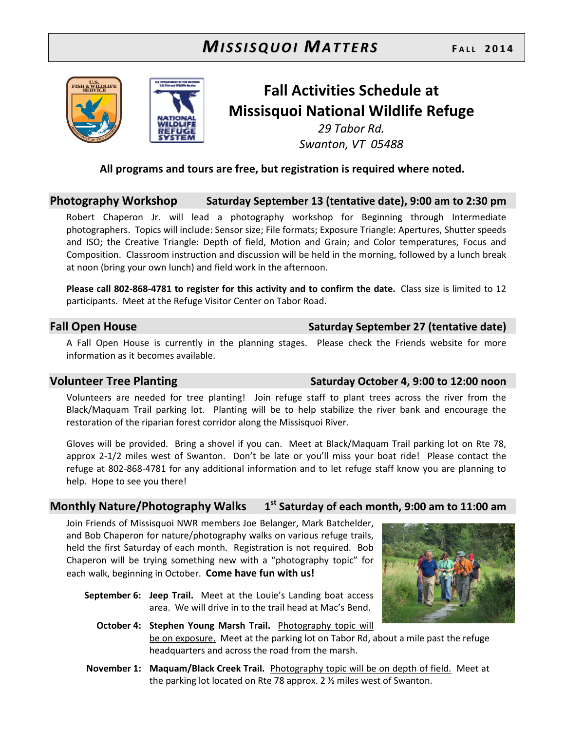



# Fall Activities Schedule at Missisquoi National Wildlife Refuge

29 Tabor Rd. Swanton, VT 05488

## All programs and tours are free, but registration is required where noted.

## Photography Workshop Saturday September 13 (tentative date), 9:00 am to 2:30 pm

Robert Chaperon Jr. will lead a photography workshop for Beginning through Intermediate photographers. Topics will include: Sensor size; File formats; Exposure Triangle: Apertures, Shutter speeds and ISO; the Creative Triangle: Depth of field, Motion and Grain; and Color temperatures, Focus and Composition. Classroom instruction and discussion will be held in the morning, followed by a lunch break at noon (bring your own lunch) and field work in the afternoon.

Please call 802-868-4781 to register for this activity and to confirm the date. Class size is limited to 12 participants. Meet at the Refuge Visitor Center on Tabor Road.

## Fall Open House Saturday September 27 (tentative date)

A Fall Open House is currently in the planning stages. Please check the Friends website for more information as it becomes available.

## Volunteer Tree Planting Volunteer Tree Planting Saturday October 4, 9:00 to 12:00 noon

Volunteers are needed for tree planting! Join refuge staff to plant trees across the river from the Black/Maquam Trail parking lot. Planting will be to help stabilize the river bank and encourage the restoration of the riparian forest corridor along the Missisquoi River.

Gloves will be provided. Bring a shovel if you can. Meet at Black/Maquam Trail parking lot on Rte 78, approx 2-1/2 miles west of Swanton. Don't be late or you'll miss your boat ride! Please contact the refuge at 802-868-4781 for any additional information and to let refuge staff know you are planning to help. Hope to see you there!

### Monthly Nature/Photography Walks 1  $1<sup>st</sup>$  Saturday of each month, 9:00 am to 11:00 am

Join Friends of Missisquoi NWR members Joe Belanger, Mark Batchelder, and Bob Chaperon for nature/photography walks on various refuge trails, held the first Saturday of each month. Registration is not required. Bob Chaperon will be trying something new with a "photography topic" for each walk, beginning in October. Come have fun with us!

- September 6: Jeep Trail. Meet at the Louie's Landing boat access area. We will drive in to the trail head at Mac's Bend.
- 
- October 4: Stephen Young Marsh Trail. Photography topic will be on exposure. Meet at the parking lot on Tabor Rd, about a mile past the refuge headquarters and across the road from the marsh.
- November 1: Maquam/Black Creek Trail. Photography topic will be on depth of field. Meet at the parking lot located on Rte 78 approx. 2 ½ miles west of Swanton.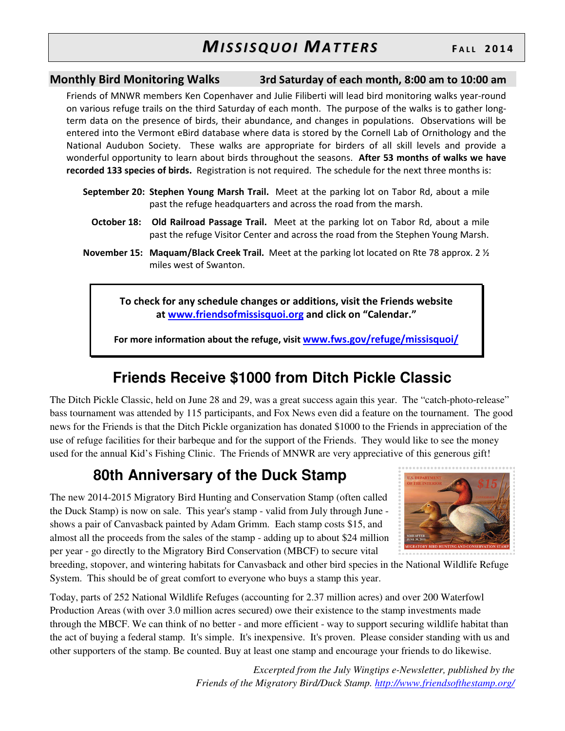## Monthly Bird Monitoring Walks 3rd Saturday of each month, 8:00 am to 10:00 am

Friends of MNWR members Ken Copenhaver and Julie Filiberti will lead bird monitoring walks year-round on various refuge trails on the third Saturday of each month. The purpose of the walks is to gather longterm data on the presence of birds, their abundance, and changes in populations. Observations will be entered into the Vermont eBird database where data is stored by the Cornell Lab of Ornithology and the National Audubon Society. These walks are appropriate for birders of all skill levels and provide a wonderful opportunity to learn about birds throughout the seasons. After 53 months of walks we have recorded 133 species of birds. Registration is not required. The schedule for the next three months is:

- September 20: Stephen Young Marsh Trail. Meet at the parking lot on Tabor Rd, about a mile past the refuge headquarters and across the road from the marsh.
	- October 18: Old Railroad Passage Trail. Meet at the parking lot on Tabor Rd, about a mile past the refuge Visitor Center and across the road from the Stephen Young Marsh.
- November 15: Maquam/Black Creek Trail. Meet at the parking lot located on Rte 78 approx. 2 1/2 miles west of Swanton.

To check for any schedule changes or additions, visit the Friends website at www.friendsofmissisquoi.org and click on "Calendar."

For more information about the refuge, visit www.fws.gov/refuge/missisquoi/

# **Friends Receive \$1000 from Ditch Pickle Classic**

The Ditch Pickle Classic, held on June 28 and 29, was a great success again this year. The "catch-photo-release" bass tournament was attended by 115 participants, and Fox News even did a feature on the tournament. The good news for the Friends is that the Ditch Pickle organization has donated \$1000 to the Friends in appreciation of the use of refuge facilities for their barbeque and for the support of the Friends. They would like to see the money used for the annual Kid's Fishing Clinic. The Friends of MNWR are very appreciative of this generous gift!

# **80th Anniversary of the Duck Stamp**

The new 2014-2015 Migratory Bird Hunting and Conservation Stamp (often called the Duck Stamp) is now on sale. This year's stamp - valid from July through June shows a pair of Canvasback painted by Adam Grimm. Each stamp costs \$15, and almost all the proceeds from the sales of the stamp - adding up to about \$24 million per year - go directly to the Migratory Bird Conservation (MBCF) to secure vital



breeding, stopover, and wintering habitats for Canvasback and other bird species in the National Wildlife Refuge System. This should be of great comfort to everyone who buys a stamp this year.

Today, parts of 252 National Wildlife Refuges (accounting for 2.37 million acres) and over 200 Waterfowl Production Areas (with over 3.0 million acres secured) owe their existence to the stamp investments made through the MBCF. We can think of no better - and more efficient - way to support securing wildlife habitat than the act of buying a federal stamp. It's simple. It's inexpensive. It's proven. Please consider standing with us and other supporters of the stamp. Be counted. Buy at least one stamp and encourage your friends to do likewise.

> *Excerpted from the July Wingtips e-Newsletter, published by the Friends of the Migratory Bird/Duck Stamp. http://www.friendsofthestamp.org/*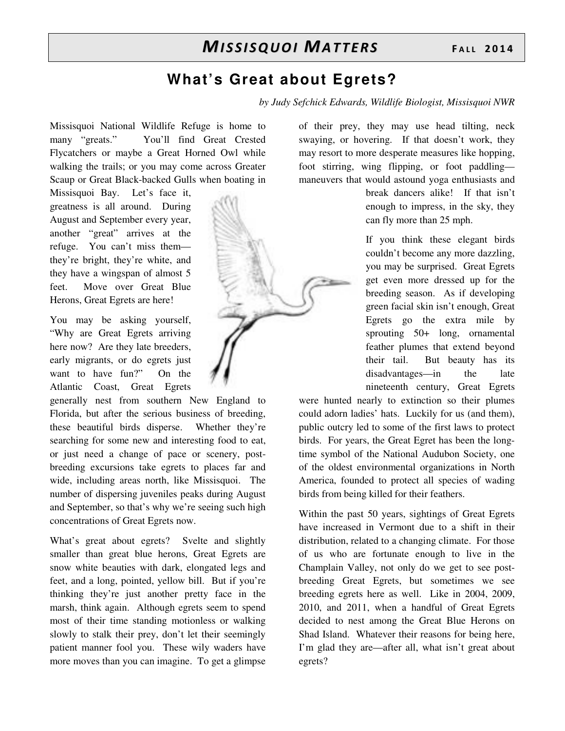# **What's Great about Egrets?**

*by Judy Sefchick Edwards, Wildlife Biologist, Missisquoi NWR* 

Missisquoi National Wildlife Refuge is home to many "greats." You'll find Great Crested Flycatchers or maybe a Great Horned Owl while walking the trails; or you may come across Greater Scaup or Great Black-backed Gulls when boating in

Missisquoi Bay. Let's face it, greatness is all around. During August and September every year, another "great" arrives at the refuge. You can't miss them they're bright, they're white, and they have a wingspan of almost 5 feet. Move over Great Blue Herons, Great Egrets are here!

You may be asking yourself, "Why are Great Egrets arriving here now? Are they late breeders, early migrants, or do egrets just want to have fun?" On the Atlantic Coast, Great Egrets

generally nest from southern New England to Florida, but after the serious business of breeding, these beautiful birds disperse. Whether they're searching for some new and interesting food to eat, or just need a change of pace or scenery, postbreeding excursions take egrets to places far and wide, including areas north, like Missisquoi. The number of dispersing juveniles peaks during August and September, so that's why we're seeing such high concentrations of Great Egrets now.

What's great about egrets? Svelte and slightly smaller than great blue herons, Great Egrets are snow white beauties with dark, elongated legs and feet, and a long, pointed, yellow bill. But if you're thinking they're just another pretty face in the marsh, think again. Although egrets seem to spend most of their time standing motionless or walking slowly to stalk their prey, don't let their seemingly patient manner fool you. These wily waders have more moves than you can imagine. To get a glimpse



of their prey, they may use head tilting, neck swaying, or hovering. If that doesn't work, they may resort to more desperate measures like hopping, foot stirring, wing flipping, or foot paddling maneuvers that would astound yoga enthusiasts and

> break dancers alike! If that isn't enough to impress, in the sky, they can fly more than 25 mph.

> If you think these elegant birds couldn't become any more dazzling, you may be surprised. Great Egrets get even more dressed up for the breeding season. As if developing green facial skin isn't enough, Great Egrets go the extra mile by sprouting 50+ long, ornamental feather plumes that extend beyond their tail. But beauty has its disadvantages—in the late nineteenth century, Great Egrets

were hunted nearly to extinction so their plumes could adorn ladies' hats. Luckily for us (and them), public outcry led to some of the first laws to protect birds. For years, the Great Egret has been the longtime symbol of the National Audubon Society, one of the oldest environmental organizations in North America, founded to protect all species of wading birds from being killed for their feathers.

Within the past 50 years, sightings of Great Egrets have increased in Vermont due to a shift in their distribution, related to a changing climate. For those of us who are fortunate enough to live in the Champlain Valley, not only do we get to see postbreeding Great Egrets, but sometimes we see breeding egrets here as well. Like in 2004, 2009, 2010, and 2011, when a handful of Great Egrets decided to nest among the Great Blue Herons on Shad Island. Whatever their reasons for being here, I'm glad they are—after all, what isn't great about egrets?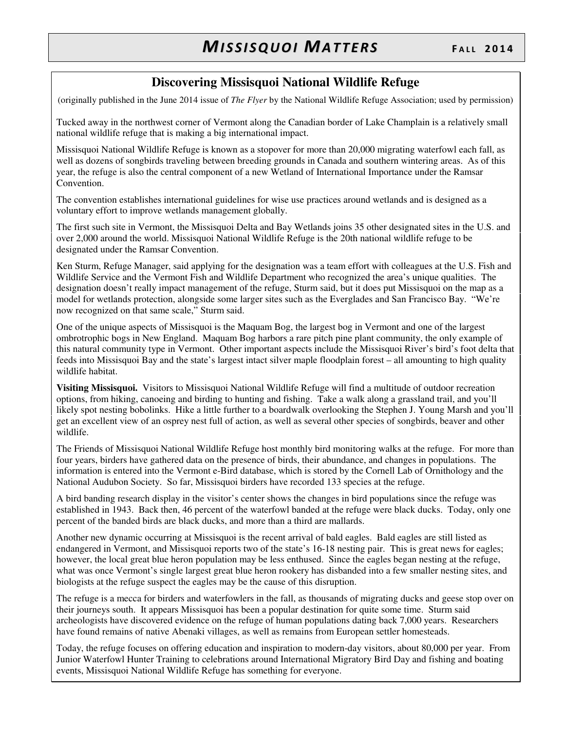## **Discovering Missisquoi National Wildlife Refuge**

(originally published in the June 2014 issue of *The Flyer* by the National Wildlife Refuge Association; used by permission)

Tucked away in the northwest corner of Vermont along the Canadian border of Lake Champlain is a relatively small national wildlife refuge that is making a big international impact.

Missisquoi National Wildlife Refuge is known as a stopover for more than 20,000 migrating waterfowl each fall, as well as dozens of songbirds traveling between breeding grounds in Canada and southern wintering areas. As of this year, the refuge is also the central component of a new Wetland of International Importance under the Ramsar Convention.

The convention establishes international guidelines for wise use practices around wetlands and is designed as a voluntary effort to improve wetlands management globally.

The first such site in Vermont, the Missisquoi Delta and Bay Wetlands joins 35 other designated sites in the U.S. and over 2,000 around the world. Missisquoi National Wildlife Refuge is the 20th national wildlife refuge to be designated under the Ramsar Convention.

Ken Sturm, Refuge Manager, said applying for the designation was a team effort with colleagues at the U.S. Fish and Wildlife Service and the Vermont Fish and Wildlife Department who recognized the area's unique qualities. The designation doesn't really impact management of the refuge, Sturm said, but it does put Missisquoi on the map as a model for wetlands protection, alongside some larger sites such as the Everglades and San Francisco Bay. "We're now recognized on that same scale," Sturm said.

One of the unique aspects of Missisquoi is the Maquam Bog, the largest bog in Vermont and one of the largest ombrotrophic bogs in New England. Maquam Bog harbors a rare pitch pine plant community, the only example of this natural community type in Vermont. Other important aspects include the Missisquoi River's bird's foot delta that feeds into Missisquoi Bay and the state's largest intact silver maple floodplain forest – all amounting to high quality wildlife habitat.

**Visiting Missisquoi.** Visitors to Missisquoi National Wildlife Refuge will find a multitude of outdoor recreation options, from hiking, canoeing and birding to hunting and fishing. Take a walk along a grassland trail, and you'll likely spot nesting bobolinks. Hike a little further to a boardwalk overlooking the Stephen J. Young Marsh and you'll get an excellent view of an osprey nest full of action, as well as several other species of songbirds, beaver and other wildlife.

The Friends of Missisquoi National Wildlife Refuge host monthly bird monitoring walks at the refuge. For more than four years, birders have gathered data on the presence of birds, their abundance, and changes in populations. The information is entered into the Vermont e-Bird database, which is stored by the Cornell Lab of Ornithology and the National Audubon Society. So far, Missisquoi birders have recorded 133 species at the refuge.

A bird banding research display in the visitor's center shows the changes in bird populations since the refuge was established in 1943. Back then, 46 percent of the waterfowl banded at the refuge were black ducks. Today, only one percent of the banded birds are black ducks, and more than a third are mallards.

Another new dynamic occurring at Missisquoi is the recent arrival of bald eagles. Bald eagles are still listed as endangered in Vermont, and Missisquoi reports two of the state's 16-18 nesting pair. This is great news for eagles; however, the local great blue heron population may be less enthused. Since the eagles began nesting at the refuge, what was once Vermont's single largest great blue heron rookery has disbanded into a few smaller nesting sites, and biologists at the refuge suspect the eagles may be the cause of this disruption.

The refuge is a mecca for birders and waterfowlers in the fall, as thousands of migrating ducks and geese stop over on their journeys south. It appears Missisquoi has been a popular destination for quite some time. Sturm said archeologists have discovered evidence on the refuge of human populations dating back 7,000 years. Researchers have found remains of native Abenaki villages, as well as remains from European settler homesteads.

Today, the refuge focuses on offering education and inspiration to modern-day visitors, about 80,000 per year. From Junior Waterfowl Hunter Training to celebrations around International Migratory Bird Day and fishing and boating events, Missisquoi National Wildlife Refuge has something for everyone.